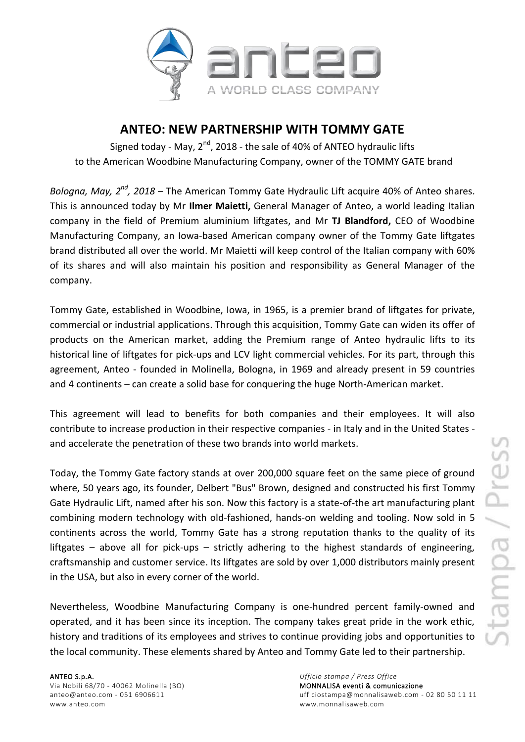

## **ANTEO: NEW PARTNERSHIP WITH TOMMY GATE**

Signed today - May, 2<sup>nd</sup>, 2018 - the sale of 40% of ANTEO hydraulic lifts to the American Woodbine Manufacturing Company, owner of the TOMMY GATE brand

Bologna, May, 2<sup>nd</sup>, 2018 – The American Tommy Gate Hydraulic Lift acquire 40% of Anteo shares. This is announced today by Mr **Ilmer Maietti,** General Manager of Anteo, a world leading Italian company in the field of Premium aluminium liftgates, and Mr **TJ Blandford,** CEO of Woodbine Manufacturing Company, an Iowa-based American company owner of the Tommy Gate liftgates brand distributed all over the world. Mr Maietti will keep control of the Italian company with 60% of its shares and will also maintain his position and responsibility as General Manager of the company.

Tommy Gate, established in Woodbine, Iowa, in 1965, is a premier brand of liftgates for private, commercial or industrial applications. Through this acquisition, Tommy Gate can widen its offer of products on the American market, adding the Premium range of Anteo hydraulic lifts to its historical line of liftgates for pick-ups and LCV light commercial vehicles. For its part, through this agreement, Anteo - founded in Molinella, Bologna, in 1969 and already present in 59 countries and 4 continents – can create a solid base for conquering the huge North-American market.

This agreement will lead to benefits for both companies and their employees. It will also contribute to increase production in their respective companies - in Italy and in the United States and accelerate the penetration of these two brands into world markets.

Today, the Tommy Gate factory stands at over 200,000 square feet on the same piece of ground where, 50 years ago, its founder, Delbert "Bus" Brown, designed and constructed his first Tommy Gate Hydraulic Lift, named after his son. Now this factory is a state-of-the art manufacturing plant combining modern technology with old-fashioned, hands-on welding and tooling. Now sold in 5 continents across the world, Tommy Gate has a strong reputation thanks to the quality of its liftgates – above all for pick-ups – strictly adhering to the highest standards of engineering, craftsmanship and customer service. Its liftgates are sold by over 1,000 distributors mainly present in the USA, but also in every corner of the world.

Nevertheless, Woodbine Manufacturing Company is one-hundred percent family-owned and operated, and it has been since its inception. The company takes great pride in the work ethic, history and traditions of its employees and strives to continue providing jobs and opportunities to the local community. These elements shared by Anteo and Tommy Gate led to their partnership.

Via Nobili 68/70 - 40062 Molinella (BO)<br>
anteo@anteo.com - 051 6906611 MONTALISA eventi & comunicazione www.anteo.com www.monnalisaweb.com